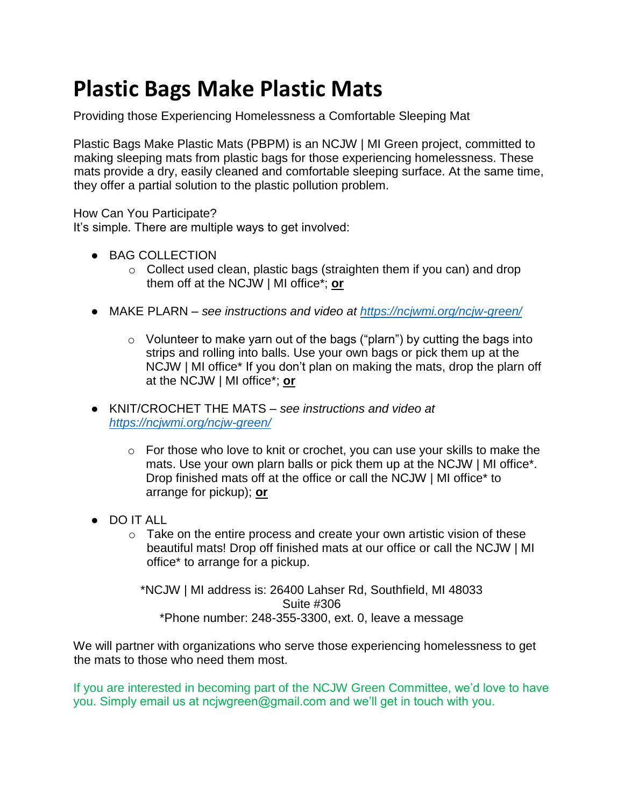## **Plastic Bags Make Plastic Mats**

Providing those Experiencing Homelessness a Comfortable Sleeping Mat

Plastic Bags Make Plastic Mats (PBPM) is an NCJW | MI Green project, committed to making sleeping mats from plastic bags for those experiencing homelessness. These mats provide a dry, easily cleaned and comfortable sleeping surface. At the same time, they offer a partial solution to the plastic pollution problem.

How Can You Participate?

It's simple. There are multiple ways to get involved:

- BAG COLLECTION
	- o Collect used clean, plastic bags (straighten them if you can) and drop them off at the NCJW | MI office\*; **or**
- MAKE PLARN *see instructions and video at<https://ncjwmi.org/ncjw-green/>*
	- o Volunteer to make yarn out of the bags ("plarn") by cutting the bags into strips and rolling into balls. Use your own bags or pick them up at the NCJW | MI office\* If you don't plan on making the mats, drop the plarn off at the NCJW | MI office\*; **or**
- KNIT/CROCHET THE MATS *see instructions and video at <https://ncjwmi.org/ncjw-green/>*
	- $\circ$  For those who love to knit or crochet, you can use your skills to make the mats. Use your own plarn balls or pick them up at the NCJW | MI office\*. Drop finished mats off at the office or call the NCJW | MI office\* to arrange for pickup); **or**
- DO IT ALL
	- $\circ$  Take on the entire process and create your own artistic vision of these beautiful mats! Drop off finished mats at our office or call the NCJW | MI office\* to arrange for a pickup.

\*NCJW | MI address is: 26400 Lahser Rd, Southfield, MI 48033 Suite #306 \*Phone number: 248-355-3300, ext. 0, leave a message

We will partner with organizations who serve those experiencing homelessness to get the mats to those who need them most.

If you are interested in becoming part of the NCJW Green Committee, we'd love to have you. Simply email us at ncjwgreen@gmail.com and we'll get in touch with you.